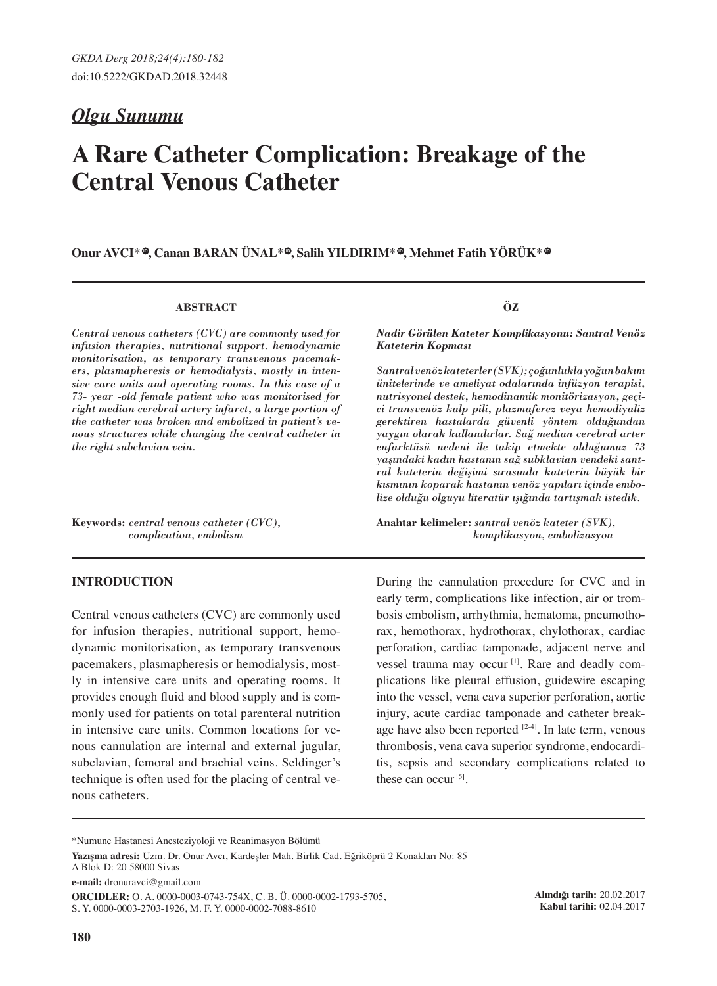# *Olgu Sunumu*

# **A Rare Catheter Complication: Breakage of the Central Venous Catheter**

**O**nur AVCI<sup>\*</sup> , Canan BARAN ÜNAL<sup>\*</sup> , Salih YILDIRIM<sup>\*</sup> , Mehmet Fatih YÖRÜK<sup>\*</sup>  $\bullet$ 

#### **ABSTRACT**

*Central venous catheters (CVC) are commonly used for infusion therapies, nutritional support, hemodynamic monitorisation, as temporary transvenous pacemakers, plasmapheresis or hemodialysis, mostly in intensive care units and operating rooms. In this case of a 73- year -old female patient who was monitorised for right median cerebral artery infarct, a large portion of the catheter was broken and embolized in patient's venous structures while changing the central catheter in the right subclavian vein.*

**Keywords:** *central venous catheter (CVC), complication, embolism* 

### **INTRODUCTION**

Central venous catheters (CVC) are commonly used for infusion therapies, nutritional support, hemodynamic monitorisation, as temporary transvenous pacemakers, plasmapheresis or hemodialysis, mostly in intensive care units and operating rooms. It provides enough fluid and blood supply and is commonly used for patients on total parenteral nutrition in intensive care units. Common locations for venous cannulation are internal and external jugular, subclavian, femoral and brachial veins. Seldinger's technique is often used for the placing of central venous catheters.

**ÖZ**

*Nadir Görülen Kateter Komplikasyonu: Santral Venöz Kateterin Kopması*

*Santral venöz kateterler (SVK); çoğunlukla yoğun bakım ünitelerinde ve ameliyat odalarında infüzyon terapisi, nutrisyonel destek, hemodinamik monitörizasyon, geçici transvenöz kalp pili, plazmaferez veya hemodiyaliz gerektiren hastalarda güvenli yöntem olduğundan yaygın olarak kullanılırlar. Sağ median cerebral arter enfarktüsü nedeni ile takip etmekte olduğumuz 73 yaşındaki kadın hastanın sağ subklavian vendeki santral kateterin değişimi sırasında kateterin büyük bir kısmının koparak hastanın venöz yapıları içinde embolize olduğu olguyu literatür ışığında tartışmak istedik.*

**Anahtar kelimeler:** *santral venöz kateter (SVK), komplikasyon, embolizasyon*

During the cannulation procedure for CVC and in early term, complications like infection, air or trombosis embolism, arrhythmia, hematoma, pneumothorax, hemothorax, hydrothorax, chylothorax, cardiac perforation, cardiac tamponade, adjacent nerve and vessel trauma may occur<sup>[1]</sup>. Rare and deadly complications like pleural effusion, guidewire escaping into the vessel, vena cava superior perforation, aortic injury, acute cardiac tamponade and catheter breakage have also been reported  $[2-4]$ . In late term, venous thrombosis, vena cava superior syndrome, endocarditis, sepsis and secondary complications related to these can occur<sup>[5]</sup>.

**e-mail:** dronuravci@gmail.com

**ORCIDLER:** O. A. 0000-0003-0743-754X, C. B. Ü. 0000-0002-1793-5705, S. Y. 0000-0003-2703-1926, M. F. Y. 0000-0002-7088-8610

**Alındığı tarih:** 20.02.2017 **Kabul tarihi:** 02.04.2017

<sup>\*</sup>Numune Hastanesi Anesteziyoloji ve Reanimasyon Bölümü

**Yazışma adresi:** Uzm. Dr. Onur Avcı, Kardeşler Mah. Birlik Cad. Eğriköprü 2 Konakları No: 85 A Blok D: 20 58000 Sivas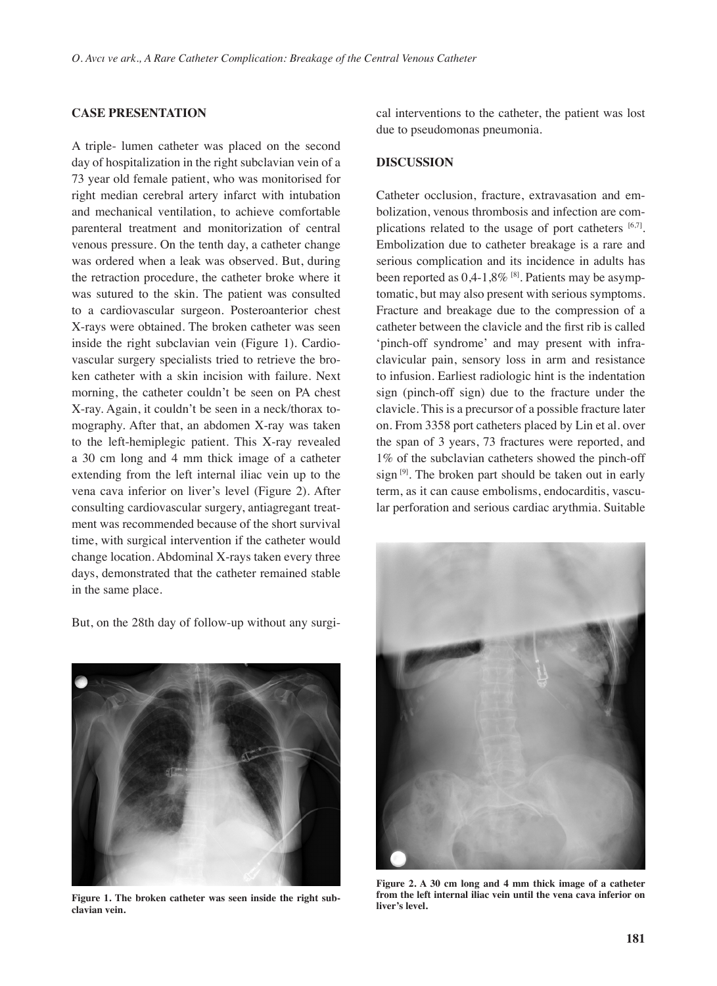# **CASE PRESENTATION**

A triple- lumen catheter was placed on the second day of hospitalization in the right subclavian vein of a 73 year old female patient, who was monitorised for right median cerebral artery infarct with intubation and mechanical ventilation, to achieve comfortable parenteral treatment and monitorization of central venous pressure. On the tenth day, a catheter change was ordered when a leak was observed. But, during the retraction procedure, the catheter broke where it was sutured to the skin. The patient was consulted to a cardiovascular surgeon. Posteroanterior chest X-rays were obtained. The broken catheter was seen inside the right subclavian vein (Figure 1). Cardiovascular surgery specialists tried to retrieve the broken catheter with a skin incision with failure. Next morning, the catheter couldn't be seen on PA chest X-ray. Again, it couldn't be seen in a neck/thorax tomography. After that, an abdomen X-ray was taken to the left-hemiplegic patient. This X-ray revealed a 30 cm long and 4 mm thick image of a catheter extending from the left internal iliac vein up to the vena cava inferior on liver's level (Figure 2). After consulting cardiovascular surgery, antiagregant treatment was recommended because of the short survival time, with surgical intervention if the catheter would change location. Abdominal X-rays taken every three days, demonstrated that the catheter remained stable in the same place.

But, on the 28th day of follow-up without any surgi-

**Figure 1. The broken catheter was seen inside the right subclavian vein.**

cal interventions to the catheter, the patient was lost due to pseudomonas pneumonia.

# **DISCUSSION**

Catheter occlusion, fracture, extravasation and embolization, venous thrombosis and infection are complications related to the usage of port catheters  $[6,7]$ . Embolization due to catheter breakage is a rare and serious complication and its incidence in adults has been reported as  $0,4-1,8\%$  [8]. Patients may be asymptomatic, but may also present with serious symptoms. Fracture and breakage due to the compression of a catheter between the clavicle and the first rib is called 'pinch-off syndrome' and may present with infraclavicular pain, sensory loss in arm and resistance to infusion. Earliest radiologic hint is the indentation sign (pinch-off sign) due to the fracture under the clavicle. This is a precursor of a possible fracture later on. From 3358 port catheters placed by Lin et al. over the span of 3 years, 73 fractures were reported, and 1% of the subclavian catheters showed the pinch-off sign  $[9]$ . The broken part should be taken out in early term, as it can cause embolisms, endocarditis, vascular perforation and serious cardiac arythmia. Suitable



**Figure 2. A 30 cm long and 4 mm thick image of a catheter from the left internal iliac vein until the vena cava inferior on liver's level.**